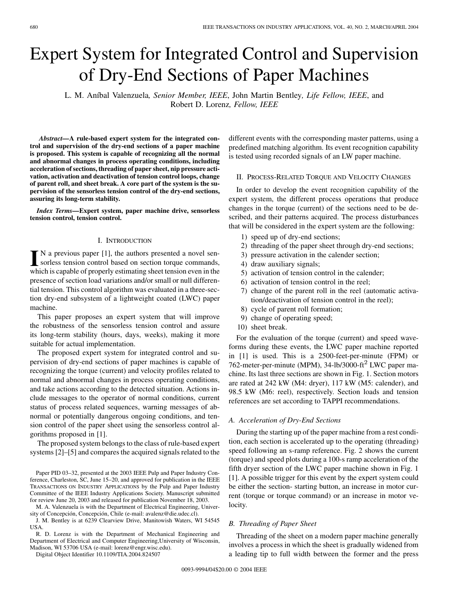# Expert System for Integrated Control and Supervision of Dry-End Sections of Paper Machines

L. M. Aníbal Valenzuela*, Senior Member, IEEE*, John Martin Bentley*, Life Fellow, IEEE*, and Robert D. Lorenz*, Fellow, IEEE*

*Abstract—***A rule-based expert system for the integrated control and supervision of the dry-end sections of a paper machine is proposed. This system is capable of recognizing all the normal and abnormal changes in process operating conditions, including acceleration of sections, threading of paper sheet, nip pressure activation, activation and deactivation of tension control loops, change of parent roll, and sheet break. A core part of the system is the supervision of the sensorless tension control of the dry-end sections, assuring its long-term stability.**

*Index Terms—***Expert system, paper machine drive, sensorless tension control, tension control.**

# I. INTRODUCTION

I N a previous paper [[1\]](#page-10-0), the authors presented a novel sen-<br>sorless tension control based on section torque commands,<br>which is sangle a foregasely estimating about torsion symptotic which is capable of properly estimating sheet tension even in the presence of section load variations and/or small or null differential tension. This control algorithm was evaluated in a three-section dry-end subsystem of a lightweight coated (LWC) paper machine.

This paper proposes an expert system that will improve the robustness of the sensorless tension control and assure its long-term stability (hours, days, weeks), making it more suitable for actual implementation.

The proposed expert system for integrated control and supervision of dry-end sections of paper machines is capable of recognizing the torque (current) and velocity profiles related to normal and abnormal changes in process operating conditions, and take actions according to the detected situation. Actions include messages to the operator of normal conditions, current status of process related sequences, warning messages of abnormal or potentially dangerous ongoing conditions, and tension control of the paper sheet using the sensorless control algorithms proposed in [\[1](#page-10-0)].

The proposed system belongs to the class of rule-based expert systems [\[2](#page-10-0)]–[\[5](#page-10-0)] and compares the acquired signals related to the

Paper PID 03–32, presented at the 2003 IEEE Pulp and Paper Industry Conference, Charleston, SC, June 15–20, and approved for publication in the IEEE TRANSACTIONS ON INDUSTRY APPLICATIONS by the Pulp and Paper Industry Committee of the IEEE Industry Applications Society. Manuscript submitted for review June 20, 2003 and released for publication November 18, 2003.

M. A. Valenzuela is with the Department of Electrical Engineering, University of Concepción, Concepción, Chile (e-mail: avalenz@die.udec.cl).

J. M. Bentley is at 6239 Clearview Drive, Manitowish Waters, WI 54545 USA.

R. D. Lorenz is with the Department of Mechanical Engineering and Department of Electrical and Computer Engineering,University of Wisconsin, Madison, WI 53706 USA (e-mail: lorenz@engr.wisc.edu).

Digital Object Identifier 10.1109/TIA.2004.824507

different events with the corresponding master patterns, using a predefined matching algorithm. Its event recognition capability is tested using recorded signals of an LW paper machine.

### II. PROCESS-RELATED TORQUE AND VELOCITY CHANGES

In order to develop the event recognition capability of the expert system, the different process operations that produce changes in the torque (current) of the sections need to be described, and their patterns acquired. The process disturbances that will be considered in the expert system are the following:

- 1) speed up of dry-end sections;
- 2) threading of the paper sheet through dry-end sections;
- 3) pressure activation in the calender section;
- 4) draw auxiliary signals;
- 5) activation of tension control in the calender;
- 6) activation of tension control in the reel;
- 7) change of the parent roll in the reel (automatic activation/deactivation of tension control in the reel);
- 8) cycle of parent roll formation;
- 9) change of operating speed;
- 10) sheet break.

For the evaluation of the torque (current) and speed waveforms during these events, the LWC paper machine reported in [[1\]](#page-10-0) is used. This is a 2500-feet-per-minute (FPM) or 762-meter-per-minute (MPM), 34-lb/3000-ft<sup>2</sup> LWC paper machine. Its last three sections are shown in Fig. 1. Section motors are rated at 242 kW (M4: dryer), 117 kW (M5: calender), and 98.5 kW (M6: reel), respectively. Section loads and tension references are set according to TAPPI recommendations.

# *A. Acceleration of Dry-End Sections*

During the starting up of the paper machine from a rest condition, each section is accelerated up to the operating (threading) speed following an s-ramp reference. Fig. 2 shows the current (torque) and speed plots during a 100-s ramp acceleration of the fifth dryer section of the LWC paper machine shown in Fig. 1 [[1\]](#page-10-0). A possible trigger for this event by the expert system could be either the section- starting button, an increase in motor current (torque or torque command) or an increase in motor velocity.

# *B. Threading of Paper Sheet*

Threading of the sheet on a modern paper machine generally involves a process in which the sheet is gradually widened from a leading tip to full width between the former and the press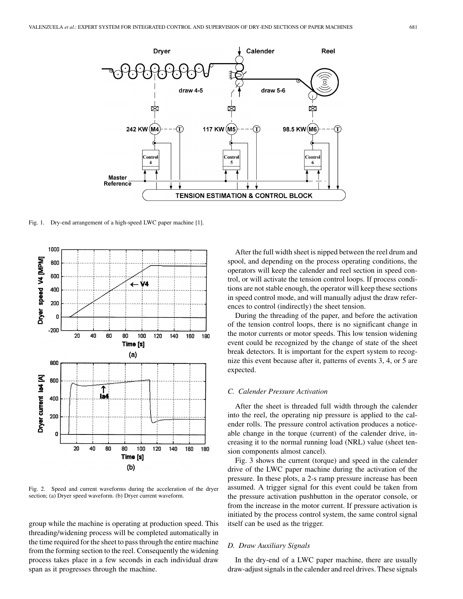

Fig. 1. Dry-end arrangement of a high-speed LWC paper machine [\[1](#page-10-0)].



Fig. 2. Speed and current waveforms during the acceleration of the dryer section; (a) Dryer speed waveform. (b) Dryer current waveform.

group while the machine is operating at production speed. This threading/widening process will be completed automatically in the time required for the sheet to pass through the entire machine from the forming section to the reel. Consequently the widening process takes place in a few seconds in each individual draw span as it progresses through the machine.

After the full width sheet is nipped between the reel drum and spool, and depending on the process operating conditions, the operators will keep the calender and reel section in speed control, or will activate the tension control loops. If process conditions are not stable enough, the operator will keep these sections in speed control mode, and will manually adjust the draw references to control (indirectly) the sheet tension.

During the threading of the paper, and before the activation of the tension control loops, there is no significant change in the motor currents or motor speeds. This low tension widening event could be recognized by the change of state of the sheet break detectors. It is important for the expert system to recognize this event because after it, patterns of events 3, 4, or 5 are expected.

# *C. Calender Pressure Activation*

After the sheet is threaded full width through the calender into the reel, the operating nip pressure is applied to the calender rolls. The pressure control activation produces a noticeable change in the torque (current) of the calender drive, increasing it to the normal running load (NRL) value (sheet tension components almost cancel).

Fig. 3 shows the current (torque) and speed in the calender drive of the LWC paper machine during the activation of the pressure. In these plots, a 2-s ramp pressure increase has been assumed. A trigger signal for this event could be taken from the pressure activation pushbutton in the operator console, or from the increase in the motor current. If pressure activation is initiated by the process control system, the same control signal itself can be used as the trigger.

## *D. Draw Auxiliary Signals*

In the dry-end of a LWC paper machine, there are usually draw-adjust signals in the calender and reel drives. These signals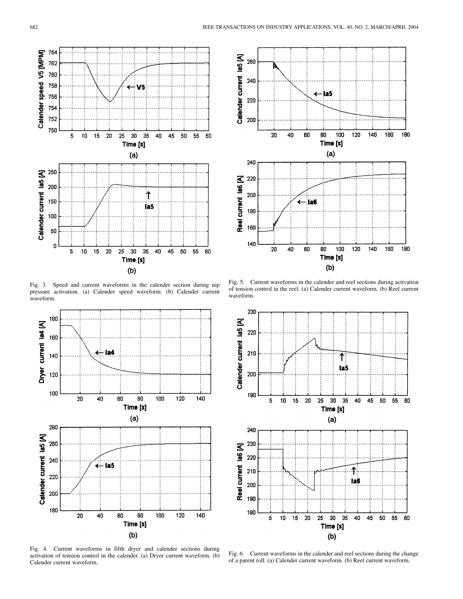

Fig. 3. Speed and current waveforms in the calender section during nip pressure activation. (a) Calender speed waveform. (b) Calender current waveform.



Fig. 4. Current waveforms in fifth dryer and calender sections during activation of tension control in the calender. (a) Dryer current waveform. (b) Calender current waveform.



Fig. 5. Current waveforms in the calender and reel sections during activation of tension control in the reel. (a) Calender current waveform. (b) Reel current waveform.



Fig. 6. Current waveforms in the calender and reel sections during the change of a parent roll. (a) Calender current waveform. (b) Reel current waveform.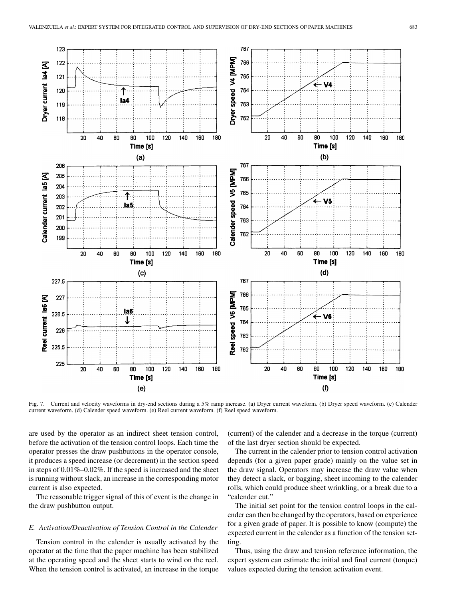

Fig. 7. Current and velocity waveforms in dry-end sections during a 5% ramp increase. (a) Dryer current waveform. (b) Dryer speed waveform. (c) Calender current waveform. (d) Calender speed waveform. (e) Reel current waveform. (f) Reel speed waveform.

are used by the operator as an indirect sheet tension control, before the activation of the tension control loops. Each time the operator presses the draw pushbuttons in the operator console, it produces a speed increase (or decrement) in the section speed in steps of 0.01%–0.02%. If the speed is increased and the sheet is running without slack, an increase in the corresponding motor current is also expected.

The reasonable trigger signal of this of event is the change in the draw pushbutton output.

# *E. Activation/Deactivation of Tension Control in the Calender*

Tension control in the calender is usually activated by the operator at the time that the paper machine has been stabilized at the operating speed and the sheet starts to wind on the reel. When the tension control is activated, an increase in the torque (current) of the calender and a decrease in the torque (current) of the last dryer section should be expected.

The current in the calender prior to tension control activation depends (for a given paper grade) mainly on the value set in the draw signal. Operators may increase the draw value when they detect a slack, or bagging, sheet incoming to the calender rolls, which could produce sheet wrinkling, or a break due to a "calender cut."

The initial set point for the tension control loops in the calender can then be changed by the operators, based on experience for a given grade of paper. It is possible to know (compute) the expected current in the calender as a function of the tension setting.

Thus, using the draw and tension reference information, the expert system can estimate the initial and final current (torque) values expected during the tension activation event.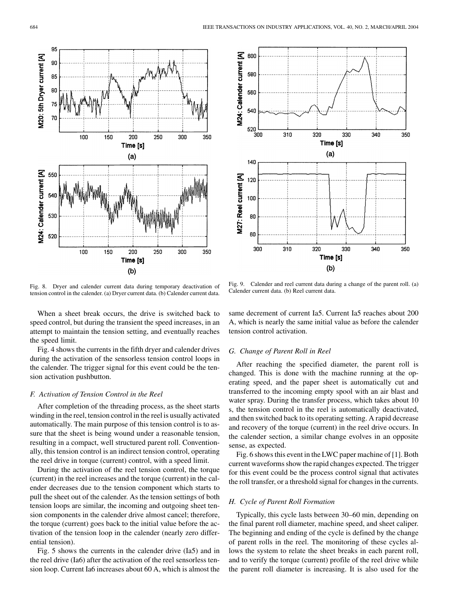



Fig. 8. Dryer and calender current data during temporary deactivation of tension control in the calender. (a) Dryer current data. (b) Calender current data.

Fig. 9. Calender and reel current data during a change of the parent roll. (a) Calender current data. (b) Reel current data.

When a sheet break occurs, the drive is switched back to speed control, but during the transient the speed increases, in an attempt to maintain the tension setting, and eventually reaches the speed limit.

Fig. 4 shows the currents in the fifth dryer and calender drives during the activation of the sensorless tension control loops in the calender. The trigger signal for this event could be the tension activation pushbutton.

# *F. Activation of Tension Control in the Reel*

After completion of the threading process, as the sheet starts winding in the reel, tension control in the reel is usually activated automatically. The main purpose of this tension control is to assure that the sheet is being wound under a reasonable tension, resulting in a compact, well structured parent roll. Conventionally, this tension control is an indirect tension control, operating the reel drive in torque (current) control, with a speed limit.

During the activation of the reel tension control, the torque (current) in the reel increases and the torque (current) in the calender decreases due to the tension component which starts to pull the sheet out of the calender. As the tension settings of both tension loops are similar, the incoming and outgoing sheet tension components in the calender drive almost cancel; therefore, the torque (current) goes back to the initial value before the activation of the tension loop in the calender (nearly zero differential tension).

Fig. 5 shows the currents in the calender drive (Ia5) and in the reel drive (Ia6) after the activation of the reel sensorless tension loop. Current Ia6 increases about 60 A, which is almost the same decrement of current Ia5. Current Ia5 reaches about 200 A, which is nearly the same initial value as before the calender tension control activation.

#### *G. Change of Parent Roll in Reel*

After reaching the specified diameter, the parent roll is changed. This is done with the machine running at the operating speed, and the paper sheet is automatically cut and transferred to the incoming empty spool with an air blast and water spray. During the transfer process, which takes about 10 s, the tension control in the reel is automatically deactivated, and then switched back to its operating setting. A rapid decrease and recovery of the torque (current) in the reel drive occurs. In the calender section, a similar change evolves in an opposite sense, as expected.

Fig. 6 shows this event in the LWC paper machine of [[1\]](#page-10-0). Both current waveforms show the rapid changes expected. The trigger for this event could be the process control signal that activates the roll transfer, or a threshold signal for changes in the currents.

# *H. Cycle of Parent Roll Formation*

Typically, this cycle lasts between 30–60 min, depending on the final parent roll diameter, machine speed, and sheet caliper. The beginning and ending of the cycle is defined by the change of parent rolls in the reel. The monitoring of these cycles allows the system to relate the sheet breaks in each parent roll, and to verify the torque (current) profile of the reel drive while the parent roll diameter is increasing. It is also used for the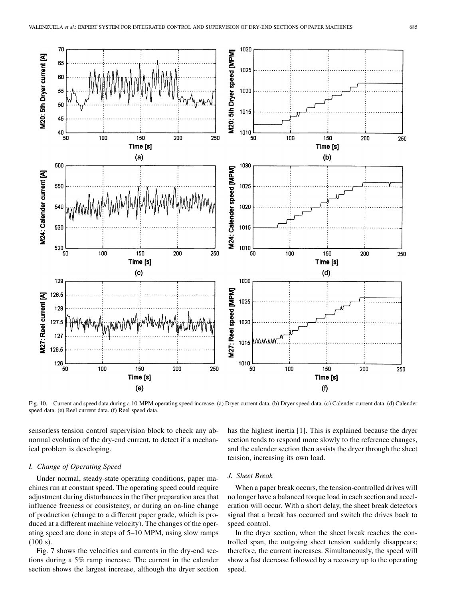

Fig. 10. Current and speed data during a 10-MPM operating speed increase. (a) Dryer current data. (b) Dryer speed data. (c) Calender current data. (d) Calender speed data. (e) Reel current data. (f) Reel speed data.

sensorless tension control supervision block to check any abnormal evolution of the dry-end current, to detect if a mechanical problem is developing.

# *I. Change of Operating Speed*

Under normal, steady-state operating conditions, paper machines run at constant speed. The operating speed could require adjustment during disturbances in the fiber preparation area that influence freeness or consistency, or during an on-line change of production (change to a different paper grade, which is produced at a different machine velocity). The changes of the operating speed are done in steps of 5–10 MPM, using slow ramps (100 s).

Fig. 7 shows the velocities and currents in the dry-end sections during a 5% ramp increase. The current in the calender section shows the largest increase, although the dryer section has the highest inertia [[1\]](#page-10-0). This is explained because the dryer section tends to respond more slowly to the reference changes, and the calender section then assists the dryer through the sheet tension, increasing its own load.

# *J. Sheet Break*

When a paper break occurs, the tension-controlled drives will no longer have a balanced torque load in each section and acceleration will occur. With a short delay, the sheet break detectors signal that a break has occurred and switch the drives back to speed control.

In the dryer section, when the sheet break reaches the controlled span, the outgoing sheet tension suddenly disappears; therefore, the current increases. Simultaneously, the speed will show a fast decrease followed by a recovery up to the operating speed.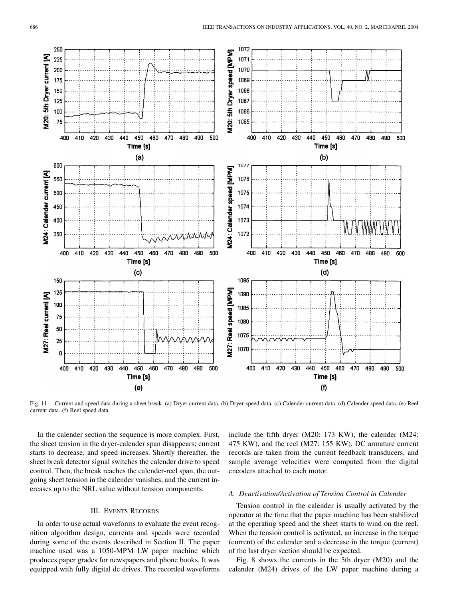

Fig. 11. Current and speed data during a sheet break. (a) Dryer current data. (b) Dryer speed data. (c) Calender current data. (d) Calender speed data. (e) Reel current data. (f) Reel speed data.

In the calender section the sequence is more complex. First, the sheet tension in the dryer-calender span disappears; current starts to decrease, and speed increases. Shortly thereafter, the sheet break detector signal switches the calender drive to speed control. Then, the break reaches the calender-reel span, the outgoing sheet tension in the calender vanishes, and the current increases up to the NRL value without tension components.

# III. EVENTS RECORDS

In order to use actual waveforms to evaluate the event recognition algorithm design, currents and speeds were recorded during some of the events described in Section II. The paper machine used was a 1050-MPM LW paper machine which produces paper grades for newspapers and phone books. It was equipped with fully digital dc drives. The recorded waveforms include the fifth dryer (M20: 173 KW), the calender (M24: 475 KW), and the reel (M27: 155 KW). DC armature current records are taken from the current feedback transducers, and sample average velocities were computed from the digital encoders attached to each motor.

# *A. Deactivation/Activation of Tension Control in Calender*

Tension control in the calender is usually activated by the operator at the time that the paper machine has been stabilized at the operating speed and the sheet starts to wind on the reel. When the tension control is activated, an increase in the torque (current) of the calender and a decrease in the torque (current) of the last dryer section should be expected.

Fig. 8 shows the currents in the 5th dryer (M20) and the calender (M24) drives of the LW paper machine during a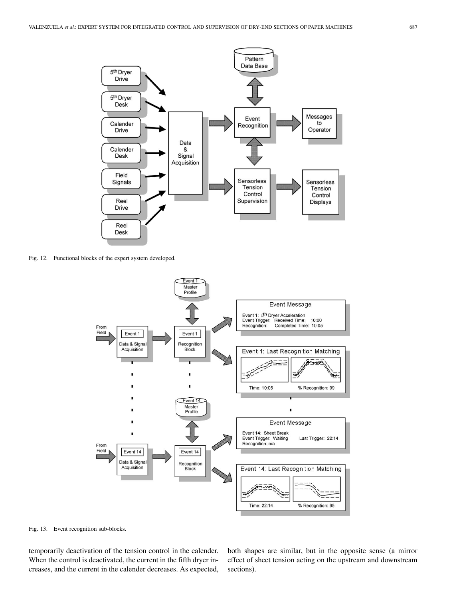

Fig. 12. Functional blocks of the expert system developed.





temporarily deactivation of the tension control in the calender. When the control is deactivated, the current in the fifth dryer increases, and the current in the calender decreases. As expected, both shapes are similar, but in the opposite sense (a mirror effect of sheet tension acting on the upstream and downstream sections).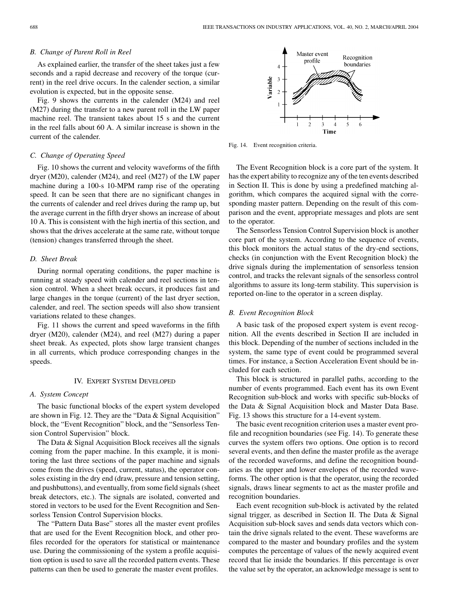## *B. Change of Parent Roll in Reel*

As explained earlier, the transfer of the sheet takes just a few seconds and a rapid decrease and recovery of the torque (current) in the reel drive occurs. In the calender section, a similar evolution is expected, but in the opposite sense.

Fig. 9 shows the currents in the calender (M24) and reel (M27) during the transfer to a new parent roll in the LW paper machine reel. The transient takes about 15 s and the current in the reel falls about 60 A. A similar increase is shown in the current of the calender.

#### *C. Change of Operating Speed*

Fig. 10 shows the current and velocity waveforms of the fifth dryer (M20), calender (M24), and reel (M27) of the LW paper machine during a 100-s 10-MPM ramp rise of the operating speed. It can be seen that there are no significant changes in the currents of calender and reel drives during the ramp up, but the average current in the fifth dryer shows an increase of about 10 A. This is consistent with the high inertia of this section, and shows that the drives accelerate at the same rate, without torque (tension) changes transferred through the sheet.

#### *D. Sheet Break*

During normal operating conditions, the paper machine is running at steady speed with calender and reel sections in tension control. When a sheet break occurs, it produces fast and large changes in the torque (current) of the last dryer section, calender, and reel. The section speeds will also show transient variations related to these changes.

Fig. 11 shows the current and speed waveforms in the fifth dryer (M20), calender (M24), and reel (M27) during a paper sheet break. As expected, plots show large transient changes in all currents, which produce corresponding changes in the speeds.

#### IV. EXPERT SYSTEM DEVELOPED

# *A. System Concept*

The basic functional blocks of the expert system developed are shown in Fig. 12. They are the "Data & Signal Acquisition" block, the "Event Recognition" block, and the "Sensorless Tension Control Supervision" block.

The Data & Signal Acquisition Block receives all the signals coming from the paper machine. In this example, it is monitoring the last three sections of the paper machine and signals come from the drives (speed, current, status), the operator consoles existing in the dry end (draw, pressure and tension setting, and pushbuttons), and eventually, from some field signals (sheet break detectors, etc.). The signals are isolated, converted and stored in vectors to be used for the Event Recognition and Sensorless Tension Control Supervision blocks.

The "Pattern Data Base" stores all the master event profiles that are used for the Event Recognition block, and other profiles recorded for the operators for statistical or maintenance use. During the commissioning of the system a profile acquisition option is used to save all the recorded pattern events. These patterns can then be used to generate the master event profiles.



Fig. 14. Event recognition criteria.

The Event Recognition block is a core part of the system. It has the expert ability to recognize any of the ten events described in Section II. This is done by using a predefined matching algorithm, which compares the acquired signal with the corresponding master pattern. Depending on the result of this comparison and the event, appropriate messages and plots are sent to the operator.

The Sensorless Tension Control Supervision block is another core part of the system. According to the sequence of events, this block monitors the actual status of the dry-end sections, checks (in conjunction with the Event Recognition block) the drive signals during the implementation of sensorless tension control, and tracks the relevant signals of the sensorless control algorithms to assure its long-term stability. This supervision is reported on-line to the operator in a screen display.

## *B. Event Recognition Block*

A basic task of the proposed expert system is event recognition. All the events described in Section II are included in this block. Depending of the number of sections included in the system, the same type of event could be programmed several times. For instance, a Section Acceleration Event should be included for each section.

This block is structured in parallel paths, according to the number of events programmed. Each event has its own Event Recognition sub-block and works with specific sub-blocks of the Data & Signal Acquisition block and Master Data Base. Fig. 13 shows this structure for a 14-event system.

The basic event recognition criterion uses a master event profile and recognition boundaries (see Fig. 14). To generate these curves the system offers two options. One option is to record several events, and then define the master profile as the average of the recorded waveforms, and define the recognition boundaries as the upper and lower envelopes of the recorded waveforms. The other option is that the operator, using the recorded signals, draws linear segments to act as the master profile and recognition boundaries.

Each event recognition sub-block is activated by the related signal trigger, as described in Section II. The Data & Signal Acquisition sub-block saves and sends data vectors which contain the drive signals related to the event. These waveforms are compared to the master and boundary profiles and the system computes the percentage of values of the newly acquired event record that lie inside the boundaries. If this percentage is over the value set by the operator, an acknowledge message is sent to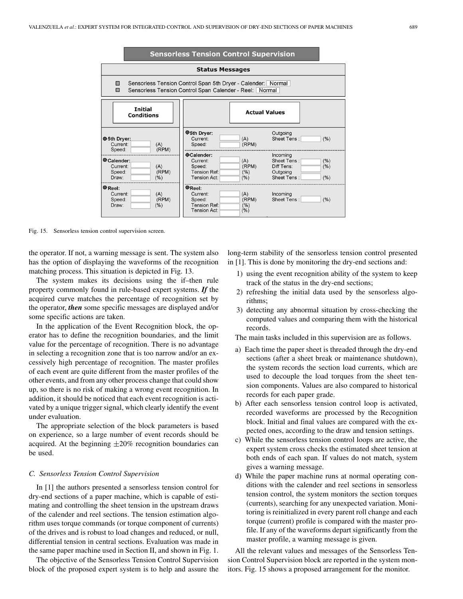

Fig. 15. Sensorless tension control supervision screen.

the operator. If not, a warning message is sent. The system also has the option of displaying the waveforms of the recognition matching process. This situation is depicted in Fig. 13.

The system makes its decisions using the if–then rule property commonly found in rule-based expert systems. *If* the acquired curve matches the percentage of recognition set by the operator, *then* some specific messages are displayed and/or some specific actions are taken.

In the application of the Event Recognition block, the operator has to define the recognition boundaries, and the limit value for the percentage of recognition. There is no advantage in selecting a recognition zone that is too narrow and/or an excessively high percentage of recognition. The master profiles of each event are quite different from the master profiles of the other events, and from any other process change that could show up, so there is no risk of making a wrong event recognition. In addition, it should be noticed that each event recognition is activated by a unique trigger signal, which clearly identify the event under evaluation.

The appropriate selection of the block parameters is based on experience, so a large number of event records should be acquired. At the beginning  $\pm 20\%$  recognition boundaries can be used.

# *C. Sensorless Tension Control Supervision*

In [[1\]](#page-10-0) the authors presented a sensorless tension control for dry-end sections of a paper machine, which is capable of estimating and controlling the sheet tension in the upstream draws of the calender and reel sections. The tension estimation algorithm uses torque commands (or torque component of currents) of the drives and is robust to load changes and reduced, or null, differential tension in central sections. Evaluation was made in the same paper machine used in Section II, and shown in Fig. 1.

The objective of the Sensorless Tension Control Supervision block of the proposed expert system is to help and assure the long-term stability of the sensorless tension control presented in [[1\]](#page-10-0). This is done by monitoring the dry-end sections and:

- 1) using the event recognition ability of the system to keep track of the status in the dry-end sections;
- 2) refreshing the initial data used by the sensorless algorithms;
- 3) detecting any abnormal situation by cross-checking the computed values and comparing them with the historical records.

The main tasks included in this supervision are as follows.

- a) Each time the paper sheet is threaded through the dry-end sections (after a sheet break or maintenance shutdown), the system records the section load currents, which are used to decouple the load torques from the sheet tension components. Values are also compared to historical records for each paper grade.
- b) After each sensorless tension control loop is activated, recorded waveforms are processed by the Recognition block. Initial and final values are compared with the expected ones, according to the draw and tension settings.
- c) While the sensorless tension control loops are active, the expert system cross checks the estimated sheet tension at both ends of each span. If values do not match, system gives a warning message.
- d) While the paper machine runs at normal operating conditions with the calender and reel sections in sensorless tension control, the system monitors the section torques (currents), searching for any unexpected variation. Monitoring is reinitialized in every parent roll change and each torque (current) profile is compared with the master profile. If any of the waveforms depart significantly from the master profile, a warning message is given.

All the relevant values and messages of the Sensorless Tension Control Supervision block are reported in the system monitors. Fig. 15 shows a proposed arrangement for the monitor.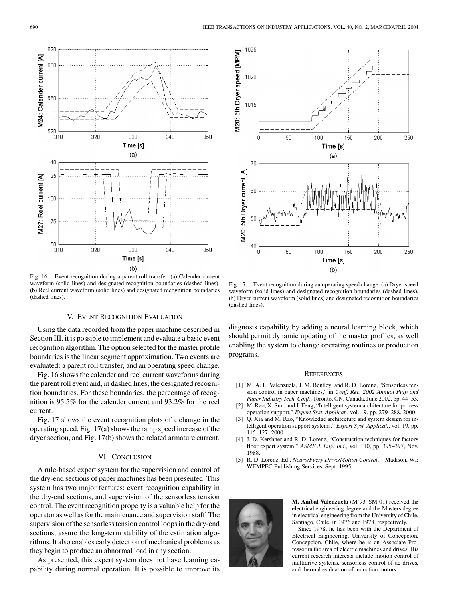<span id="page-10-0"></span>

Fig. 16. Event recognition during a parent roll transfer. (a) Calender current waveform (solid lines) and designated recognition boundaries (dashed lines). (b) Reel current waveform (solid lines) and designated recognition boundaries (dashed lines).

# V. EVENT RECOGNITION EVALUATION

Using the data recorded from the paper machine described in Section III, it is possible to implement and evaluate a basic event recognition algorithm. The option selected for the master profile boundaries is the linear segment approximation. Two events are evaluated: a parent roll transfer, and an operating speed change.

Fig. 16 shows the calender and reel current waveforms during the parent roll event and, in dashed lines, the designated recognition boundaries. For these boundaries, the percentage of recognition is 95.5% for the calender current and 93.2% for the reel current.

Fig. 17 shows the event recognition plots of a change in the operating speed. Fig. 17(a) shows the ramp speed increase of the dryer section, and Fig. 17(b) shows the related armature current.

# VI. CONCLUSION

A rule-based expert system for the supervision and control of the dry-end sections of paper machines has been presented. This system has two major features: event recognition capability in the dry-end sections, and supervision of the sensorless tension control. The event recognition property is a valuable help for the operator as well as for the maintenance and supervision staff. The supervision of the sensorless tension control loops in the dry-end sections, assure the long-term stability of the estimation algorithms. It also enables early detection of mechanical problems as they begin to produce an abnormal load in any section.

As presented, this expert system does not have learning capability during normal operation. It is possible to improve its



Fig. 17. Event recognition during an operating speed change. (a) Dryer speed waveform (solid lines) and designated recognition boundaries (dashed lines). (b) Dryer current waveform (solid lines) and designated recognition boundaries (dashed lines).

diagnosis capability by adding a neural learning block, which should permit dynamic updating of the master profiles, as well enabling the system to change operating routines or production programs.

#### **REFERENCES**

- [1] M. A. L. Valenzuela, J. M. Bentley, and R. D. Lorenz, "Sensorless tension control in paper machines," in *Conf. Rec. 2002 Annual Pulp and Paper Industry Tech. Conf.*, Toronto, ON, Canada, June 2002, pp. 44–53.
- [2] M. Rao, X. Sun, and J. Feng, "Intelligent system architecture for process operation support," *Expert Syst. Applicat.*, vol. 19, pp. 279–288, 2000.
- [3] Q. Xia and M. Rao, "Knowledge architecture and system design for intelligent operation support systems," *Expert Syst. Applicat.*, vol. 19, pp. 115–127, 2000.
- [4] J. D. Kershner and R. D. Lorenz, "Construction techniques for factory floor expert system," *ASME J. Eng. Ind.*, vol. 110, pp. 395–397, Nov. 1988.
- [5] R. D. Lorenz, Ed., *Neuro/Fuzzy Drive/Motion Control*. Madison, WI: WEMPEC Publishing Services, Sept. 1995.



**M. Aníbal Valenzuela** (M'93–SM'01) received the electrical engineering degree and the Masters degree in electrical engineering from the University of Chile, Santiago, Chile, in 1976 and 1978, respectively.

Since 1978, he has been with the Department of Electrical Engineering, University of Concepción, Concepción, Chile, where he is an Associate Professor in the area of electric machines and drives. His current research interests include motion control of multidrive systems, sensorless control of ac drives, and thermal evaluation of induction motors.